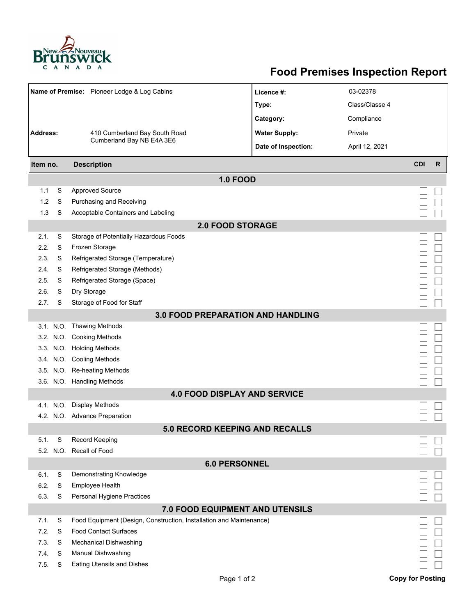

## **Food Premises Inspection Report**

|                                   |        | Name of Premise: Pioneer Lodge & Log Cabins                         | Licence #:           | 03-02378       |                         |   |  |  |  |  |
|-----------------------------------|--------|---------------------------------------------------------------------|----------------------|----------------|-------------------------|---|--|--|--|--|
|                                   |        | 410 Cumberland Bay South Road<br>Cumberland Bay NB E4A 3E6          | Type:                | Class/Classe 4 |                         |   |  |  |  |  |
|                                   |        |                                                                     | Category:            | Compliance     |                         |   |  |  |  |  |
| <b>Address:</b>                   |        |                                                                     | <b>Water Supply:</b> | Private        |                         |   |  |  |  |  |
|                                   |        |                                                                     | Date of Inspection:  | April 12, 2021 |                         |   |  |  |  |  |
|                                   |        |                                                                     |                      |                |                         |   |  |  |  |  |
| Item no.                          |        | <b>Description</b>                                                  |                      |                | <b>CDI</b>              | R |  |  |  |  |
|                                   |        | <b>1.0 FOOD</b>                                                     |                      |                |                         |   |  |  |  |  |
| 1.1                               | S      | <b>Approved Source</b>                                              |                      |                |                         |   |  |  |  |  |
| 1.2                               | S      | Purchasing and Receiving                                            |                      |                |                         |   |  |  |  |  |
| 1.3                               | S      | Acceptable Containers and Labeling                                  |                      |                |                         |   |  |  |  |  |
| <b>2.0 FOOD STORAGE</b>           |        |                                                                     |                      |                |                         |   |  |  |  |  |
| 2.1.                              | S      | Storage of Potentially Hazardous Foods                              |                      |                |                         |   |  |  |  |  |
| 2.2.                              | S      | Frozen Storage                                                      |                      |                |                         |   |  |  |  |  |
| 2.3.                              | S      | Refrigerated Storage (Temperature)                                  |                      |                |                         |   |  |  |  |  |
| 2.4.                              | S      | Refrigerated Storage (Methods)                                      |                      |                |                         |   |  |  |  |  |
| 2.5.                              | S      | Refrigerated Storage (Space)                                        |                      |                |                         |   |  |  |  |  |
| 2.6.                              | S      | Dry Storage                                                         |                      |                |                         |   |  |  |  |  |
| 2.7.                              | S      | Storage of Food for Staff                                           |                      |                |                         |   |  |  |  |  |
| 3.0 FOOD PREPARATION AND HANDLING |        |                                                                     |                      |                |                         |   |  |  |  |  |
|                                   |        | 3.1. N.O. Thawing Methods                                           |                      |                |                         |   |  |  |  |  |
|                                   |        | 3.2. N.O. Cooking Methods                                           |                      |                |                         |   |  |  |  |  |
|                                   |        | 3.3. N.O. Holding Methods                                           |                      |                |                         |   |  |  |  |  |
|                                   |        | 3.4. N.O. Cooling Methods                                           |                      |                |                         |   |  |  |  |  |
|                                   |        | 3.5. N.O. Re-heating Methods                                        |                      |                |                         |   |  |  |  |  |
|                                   |        | 3.6. N.O. Handling Methods                                          |                      |                |                         |   |  |  |  |  |
|                                   |        | <b>4.0 FOOD DISPLAY AND SERVICE</b>                                 |                      |                |                         |   |  |  |  |  |
|                                   |        | 4.1. N.O. Display Methods                                           |                      |                |                         |   |  |  |  |  |
|                                   |        | 4.2. N.O. Advance Preparation                                       |                      |                |                         |   |  |  |  |  |
|                                   |        | 5.0 RECORD KEEPING AND RECALLS                                      |                      |                |                         |   |  |  |  |  |
| 5.1.                              | S      | Record Keeping                                                      |                      |                |                         |   |  |  |  |  |
|                                   |        | 5.2. N.O. Recall of Food                                            |                      |                |                         |   |  |  |  |  |
| <b>6.0 PERSONNEL</b>              |        |                                                                     |                      |                |                         |   |  |  |  |  |
| 6.1.                              | S      | Demonstrating Knowledge                                             |                      |                |                         |   |  |  |  |  |
| 6.2.                              | S      | Employee Health                                                     |                      |                |                         |   |  |  |  |  |
| 6.3.                              | S      | Personal Hygiene Practices                                          |                      |                |                         |   |  |  |  |  |
| 7.0 FOOD EQUIPMENT AND UTENSILS   |        |                                                                     |                      |                |                         |   |  |  |  |  |
| 7.1.                              | S      | Food Equipment (Design, Construction, Installation and Maintenance) |                      |                |                         |   |  |  |  |  |
| 7.2.                              | S      | <b>Food Contact Surfaces</b>                                        |                      |                |                         |   |  |  |  |  |
| 7.3<br>7.4.                       | S<br>S | Mechanical Dishwashing                                              |                      |                |                         |   |  |  |  |  |
| 7.5.                              | S      | Manual Dishwashing<br>Eating Utensils and Dishes                    |                      |                |                         |   |  |  |  |  |
|                                   |        |                                                                     |                      |                |                         |   |  |  |  |  |
|                                   |        | Page 1 of 2                                                         |                      |                | <b>Copy for Posting</b> |   |  |  |  |  |